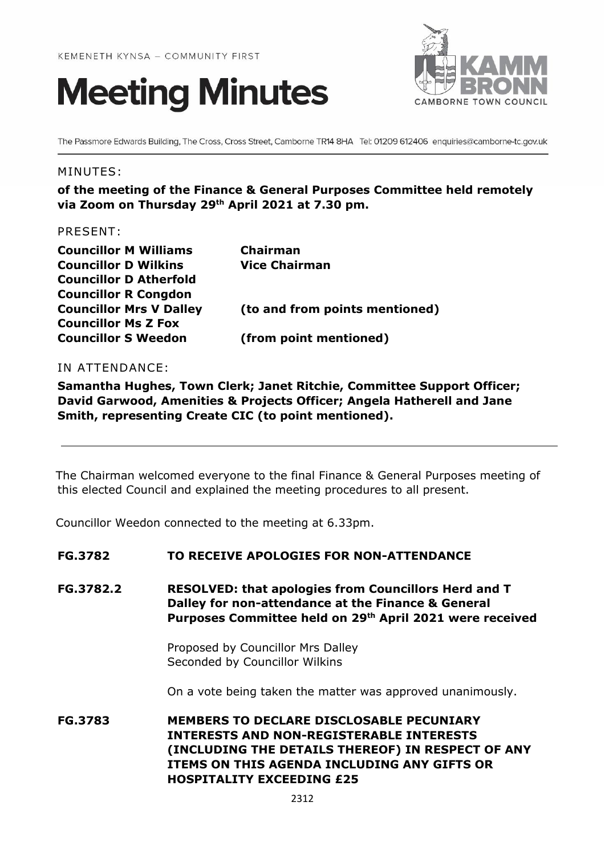



The Passmore Edwards Building, The Cross, Cross Street, Camborne TR14 8HA Tel: 01209 612406 enquiries@camborne-tc.gov.uk

#### MINUTES:

**of the meeting of the Finance & General Purposes Committee held remotely via Zoom on Thursday 29 th April 2021 at 7.30 pm.**

### PRESENT:

| <b>Councillor M Williams</b>   | <b>Chairman</b>                |
|--------------------------------|--------------------------------|
| <b>Councillor D Wilkins</b>    | <b>Vice Chairman</b>           |
| <b>Councillor D Atherfold</b>  |                                |
| <b>Councillor R Congdon</b>    |                                |
| <b>Councillor Mrs V Dalley</b> | (to and from points mentioned) |
| <b>Councillor Ms Z Fox</b>     |                                |
| <b>Councillor S Weedon</b>     | (from point mentioned)         |

### IN ATTENDANCE:

**Samantha Hughes, Town Clerk; Janet Ritchie, Committee Support Officer; David Garwood, Amenities & Projects Officer; Angela Hatherell and Jane Smith, representing Create CIC (to point mentioned).**

The Chairman welcomed everyone to the final Finance & General Purposes meeting of this elected Council and explained the meeting procedures to all present.

Councillor Weedon connected to the meeting at 6.33pm.

#### **FG.3782 TO RECEIVE APOLOGIES FOR NON-ATTENDANCE**

**FG.3782.2 RESOLVED: that apologies from Councillors Herd and T Dalley for non-attendance at the Finance & General Purposes Committee held on 29 th April 2021 were received** 

> Proposed by Councillor Mrs Dalley Seconded by Councillor Wilkins

On a vote being taken the matter was approved unanimously.

**FG.3783 MEMBERS TO DECLARE DISCLOSABLE PECUNIARY INTERESTS AND NON-REGISTERABLE INTERESTS (INCLUDING THE DETAILS THEREOF) IN RESPECT OF ANY ITEMS ON THIS AGENDA INCLUDING ANY GIFTS OR HOSPITALITY EXCEEDING £25**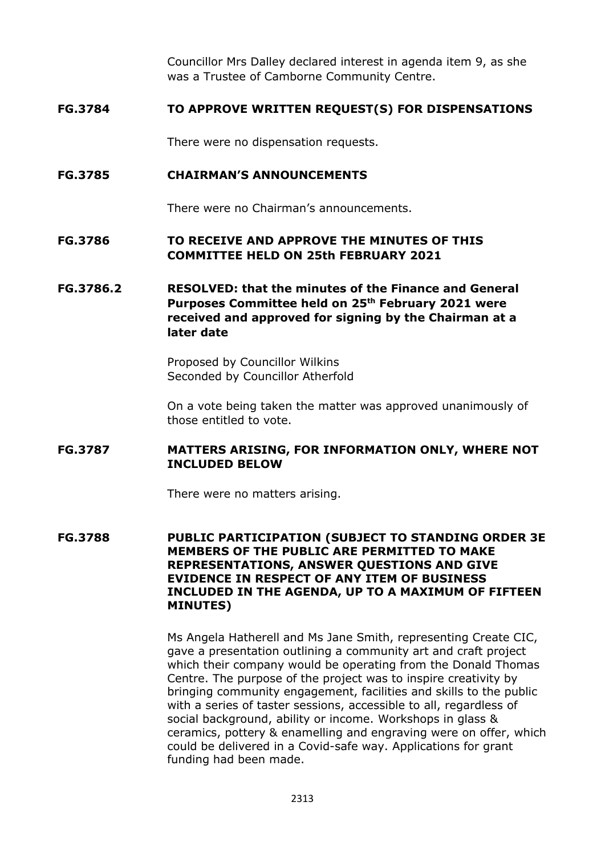Councillor Mrs Dalley declared interest in agenda item 9, as she was a Trustee of Camborne Community Centre.

### **FG.3784 TO APPROVE WRITTEN REQUEST(S) FOR DISPENSATIONS**

There were no dispensation requests.

### **FG.3785 CHAIRMAN'S ANNOUNCEMENTS**

There were no Chairman's announcements.

# **FG.3786 TO RECEIVE AND APPROVE THE MINUTES OF THIS COMMITTEE HELD ON 25th FEBRUARY 2021**

# **FG.3786.2 RESOLVED: that the minutes of the Finance and General Purposes Committee held on 25th February 2021 were received and approved for signing by the Chairman at a later date**

Proposed by Councillor Wilkins Seconded by Councillor Atherfold

On a vote being taken the matter was approved unanimously of those entitled to vote.

### **FG.3787 MATTERS ARISING, FOR INFORMATION ONLY, WHERE NOT INCLUDED BELOW**

There were no matters arising.

**FG.3788 PUBLIC PARTICIPATION (SUBJECT TO STANDING ORDER 3E MEMBERS OF THE PUBLIC ARE PERMITTED TO MAKE REPRESENTATIONS, ANSWER QUESTIONS AND GIVE EVIDENCE IN RESPECT OF ANY ITEM OF BUSINESS INCLUDED IN THE AGENDA, UP TO A MAXIMUM OF FIFTEEN MINUTES)**

> Ms Angela Hatherell and Ms Jane Smith, representing Create CIC, gave a presentation outlining a community art and craft project which their company would be operating from the Donald Thomas Centre. The purpose of the project was to inspire creativity by bringing community engagement, facilities and skills to the public with a series of taster sessions, accessible to all, regardless of social background, ability or income. Workshops in glass & ceramics, pottery & enamelling and engraving were on offer, which could be delivered in a Covid-safe way. Applications for grant funding had been made.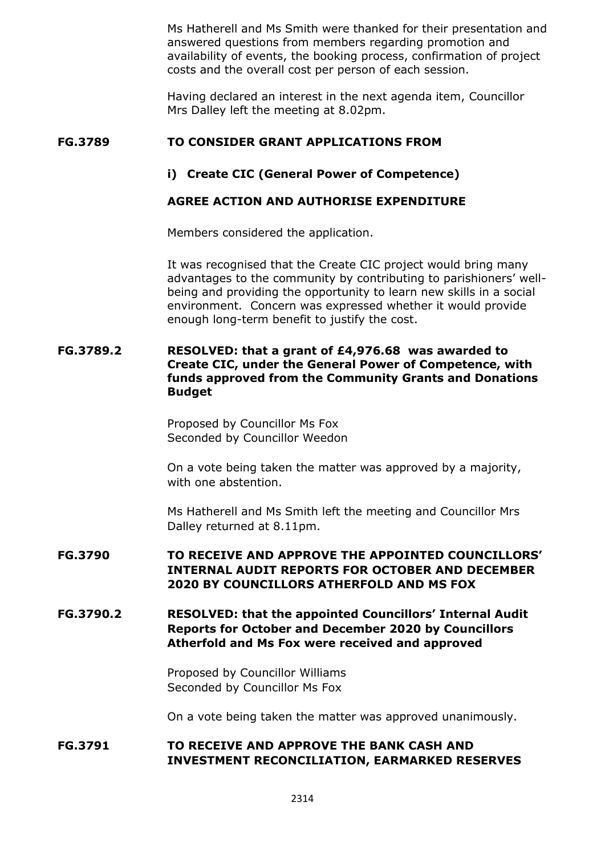Ms Hatherell and Ms Smith were thanked for their presentation and answered questions from members regarding promotion and availability of events, the booking process, confirmation of project costs and the overall cost per person of each session.

Having declared an interest in the next agenda item, Councillor Mrs Dalley left the meeting at 8.02pm.

### **FG.3789 TO CONSIDER GRANT APPLICATIONS FROM**

### **i) Create CIC (General Power of Competence)**

### **AGREE ACTION AND AUTHORISE EXPENDITURE**

Members considered the application.

It was recognised that the Create CIC project would bring many advantages to the community by contributing to parishioners' wellbeing and providing the opportunity to learn new skills in a social environment. Concern was expressed whether it would provide enough long-term benefit to justify the cost.

### **FG.3789.2 RESOLVED: that a grant of £4,976.68 was awarded to Create CIC, under the General Power of Competence, with funds approved from the Community Grants and Donations Budget**

Proposed by Councillor Ms Fox Seconded by Councillor Weedon

On a vote being taken the matter was approved by a majority, with one abstention.

Ms Hatherell and Ms Smith left the meeting and Councillor Mrs Dalley returned at 8.11pm.

# **FG.3790 TO RECEIVE AND APPROVE THE APPOINTED COUNCILLORS' INTERNAL AUDIT REPORTS FOR OCTOBER AND DECEMBER 2020 BY COUNCILLORS ATHERFOLD AND MS FOX**

**FG.3790.2 RESOLVED: that the appointed Councillors' Internal Audit Reports for October and December 2020 by Councillors Atherfold and Ms Fox were received and approved**

> Proposed by Councillor Williams Seconded by Councillor Ms Fox

On a vote being taken the matter was approved unanimously.

### **FG.3791 TO RECEIVE AND APPROVE THE BANK CASH AND INVESTMENT RECONCILIATION, EARMARKED RESERVES**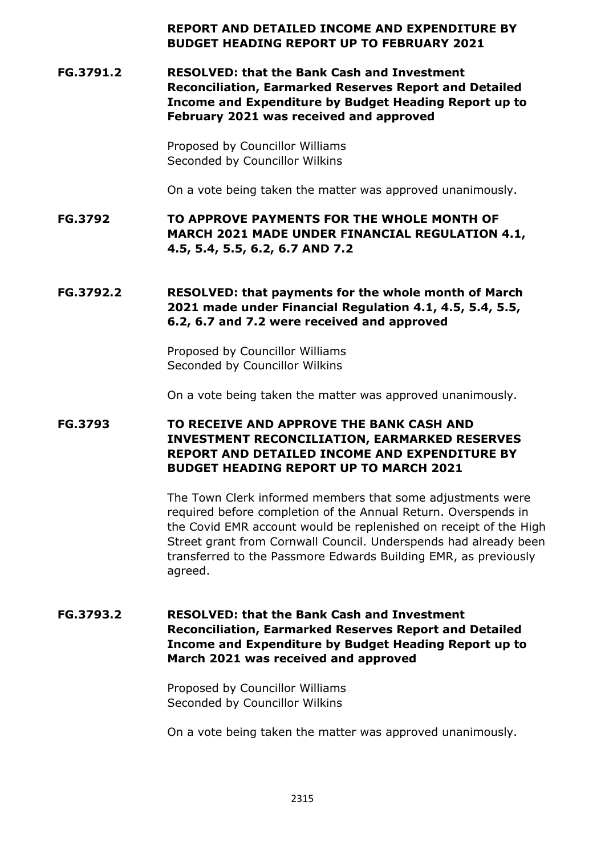### **REPORT AND DETAILED INCOME AND EXPENDITURE BY BUDGET HEADING REPORT UP TO FEBRUARY 2021**

**FG.3791.2 RESOLVED: that the Bank Cash and Investment Reconciliation, Earmarked Reserves Report and Detailed Income and Expenditure by Budget Heading Report up to February 2021 was received and approved**

> Proposed by Councillor Williams Seconded by Councillor Wilkins

On a vote being taken the matter was approved unanimously.

**FG.3792 TO APPROVE PAYMENTS FOR THE WHOLE MONTH OF MARCH 2021 MADE UNDER FINANCIAL REGULATION 4.1, 4.5, 5.4, 5.5, 6.2, 6.7 AND 7.2**

# **FG.3792.2 RESOLVED: that payments for the whole month of March 2021 made under Financial Regulation 4.1, 4.5, 5.4, 5.5, 6.2, 6.7 and 7.2 were received and approved**

Proposed by Councillor Williams Seconded by Councillor Wilkins

On a vote being taken the matter was approved unanimously.

# **FG.3793 TO RECEIVE AND APPROVE THE BANK CASH AND INVESTMENT RECONCILIATION, EARMARKED RESERVES REPORT AND DETAILED INCOME AND EXPENDITURE BY BUDGET HEADING REPORT UP TO MARCH 2021**

The Town Clerk informed members that some adjustments were required before completion of the Annual Return. Overspends in the Covid EMR account would be replenished on receipt of the High Street grant from Cornwall Council. Underspends had already been transferred to the Passmore Edwards Building EMR, as previously agreed.

# **FG.3793.2 RESOLVED: that the Bank Cash and Investment Reconciliation, Earmarked Reserves Report and Detailed Income and Expenditure by Budget Heading Report up to March 2021 was received and approved**

Proposed by Councillor Williams Seconded by Councillor Wilkins

On a vote being taken the matter was approved unanimously.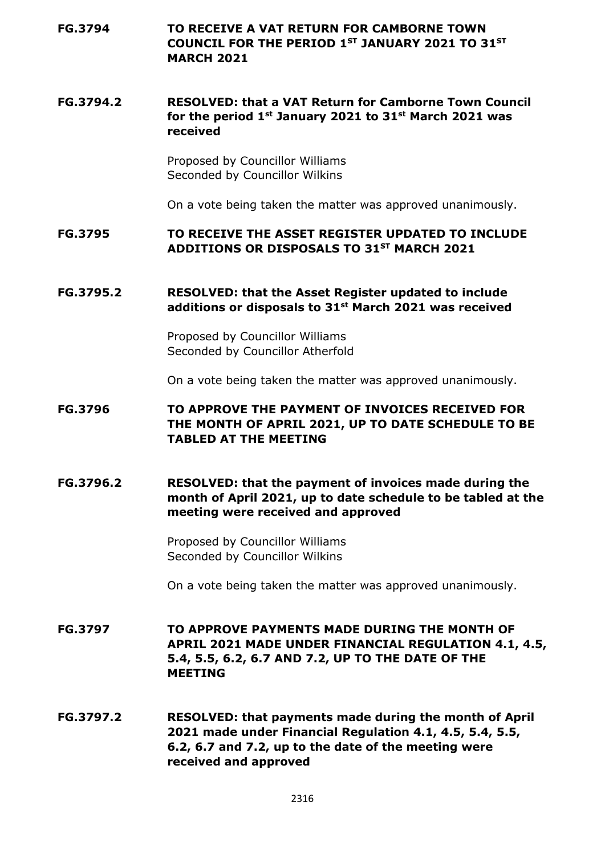**FG.3794 TO RECEIVE A VAT RETURN FOR CAMBORNE TOWN COUNCIL FOR THE PERIOD 1ST JANUARY 2021 TO 31ST MARCH 2021**

# **FG.3794.2 RESOLVED: that a VAT Return for Camborne Town Council for the period 1st January 2021 to 31st March 2021 was received**

Proposed by Councillor Williams Seconded by Councillor Wilkins

On a vote being taken the matter was approved unanimously.

### **FG.3795 TO RECEIVE THE ASSET REGISTER UPDATED TO INCLUDE ADDITIONS OR DISPOSALS TO 31ST MARCH 2021**

### **FG.3795.2 RESOLVED: that the Asset Register updated to include additions or disposals to 31st March 2021 was received**

Proposed by Councillor Williams Seconded by Councillor Atherfold

On a vote being taken the matter was approved unanimously.

# **FG.3796 TO APPROVE THE PAYMENT OF INVOICES RECEIVED FOR THE MONTH OF APRIL 2021, UP TO DATE SCHEDULE TO BE TABLED AT THE MEETING**

# **FG.3796.2 RESOLVED: that the payment of invoices made during the month of April 2021, up to date schedule to be tabled at the meeting were received and approved**

Proposed by Councillor Williams Seconded by Councillor Wilkins

On a vote being taken the matter was approved unanimously.

**FG.3797 TO APPROVE PAYMENTS MADE DURING THE MONTH OF APRIL 2021 MADE UNDER FINANCIAL REGULATION 4.1, 4.5, 5.4, 5.5, 6.2, 6.7 AND 7.2, UP TO THE DATE OF THE MEETING**

**FG.3797.2 RESOLVED: that payments made during the month of April 2021 made under Financial Regulation 4.1, 4.5, 5.4, 5.5, 6.2, 6.7 and 7.2, up to the date of the meeting were received and approved**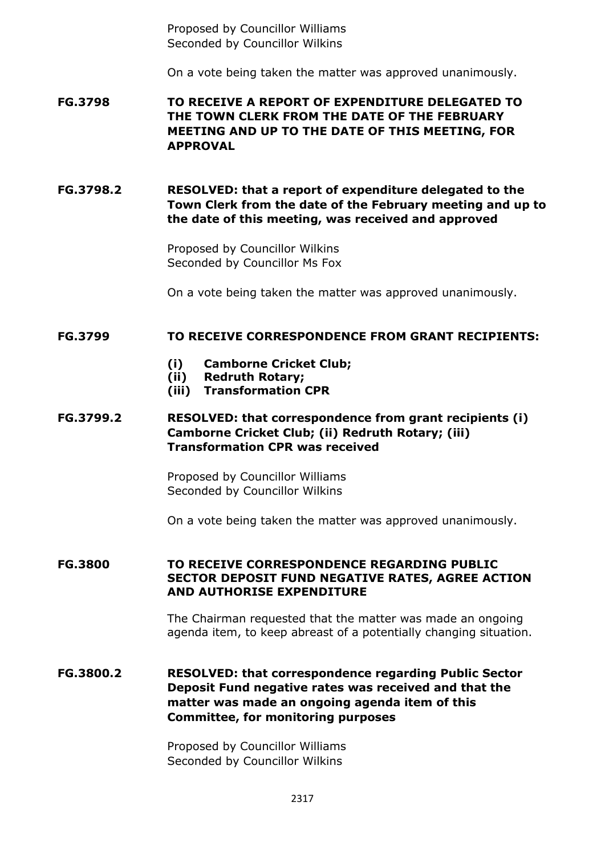Proposed by Councillor Williams Seconded by Councillor Wilkins

On a vote being taken the matter was approved unanimously.

**FG.3798 TO RECEIVE A REPORT OF EXPENDITURE DELEGATED TO THE TOWN CLERK FROM THE DATE OF THE FEBRUARY MEETING AND UP TO THE DATE OF THIS MEETING, FOR APPROVAL**

**FG.3798.2 RESOLVED: that a report of expenditure delegated to the Town Clerk from the date of the February meeting and up to the date of this meeting, was received and approved**

> Proposed by Councillor Wilkins Seconded by Councillor Ms Fox

On a vote being taken the matter was approved unanimously.

#### **FG.3799 TO RECEIVE CORRESPONDENCE FROM GRANT RECIPIENTS:**

- **(i) Camborne Cricket Club;**
- **(ii) Redruth Rotary;**
- **(iii) Transformation CPR**

# **FG.3799.2 RESOLVED: that correspondence from grant recipients (i) Camborne Cricket Club; (ii) Redruth Rotary; (iii) Transformation CPR was received**

Proposed by Councillor Williams Seconded by Councillor Wilkins

On a vote being taken the matter was approved unanimously.

#### **FG.3800 TO RECEIVE CORRESPONDENCE REGARDING PUBLIC SECTOR DEPOSIT FUND NEGATIVE RATES, AGREE ACTION AND AUTHORISE EXPENDITURE**

The Chairman requested that the matter was made an ongoing agenda item, to keep abreast of a potentially changing situation.

# **FG.3800.2 RESOLVED: that correspondence regarding Public Sector Deposit Fund negative rates was received and that the matter was made an ongoing agenda item of this Committee, for monitoring purposes**

Proposed by Councillor Williams Seconded by Councillor Wilkins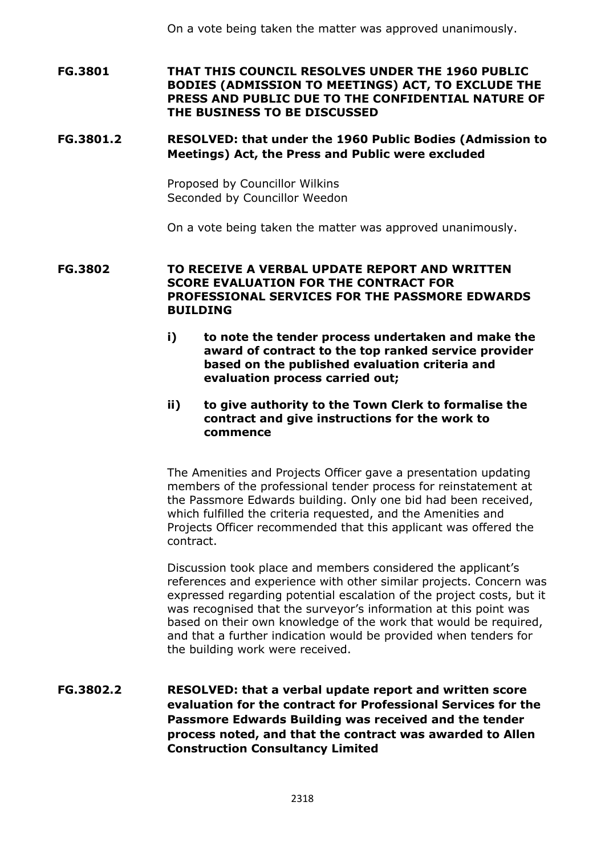On a vote being taken the matter was approved unanimously.

**FG.3801 THAT THIS COUNCIL RESOLVES UNDER THE 1960 PUBLIC BODIES (ADMISSION TO MEETINGS) ACT, TO EXCLUDE THE PRESS AND PUBLIC DUE TO THE CONFIDENTIAL NATURE OF THE BUSINESS TO BE DISCUSSED**

### **FG.3801.2 RESOLVED: that under the 1960 Public Bodies (Admission to Meetings) Act, the Press and Public were excluded**

Proposed by Councillor Wilkins Seconded by Councillor Weedon

On a vote being taken the matter was approved unanimously.

### **FG.3802 TO RECEIVE A VERBAL UPDATE REPORT AND WRITTEN SCORE EVALUATION FOR THE CONTRACT FOR PROFESSIONAL SERVICES FOR THE PASSMORE EDWARDS BUILDING**

**i) to note the tender process undertaken and make the award of contract to the top ranked service provider based on the published evaluation criteria and evaluation process carried out;**

### **ii) to give authority to the Town Clerk to formalise the contract and give instructions for the work to commence**

The Amenities and Projects Officer gave a presentation updating members of the professional tender process for reinstatement at the Passmore Edwards building. Only one bid had been received, which fulfilled the criteria requested, and the Amenities and Projects Officer recommended that this applicant was offered the contract.

Discussion took place and members considered the applicant's references and experience with other similar projects. Concern was expressed regarding potential escalation of the project costs, but it was recognised that the surveyor's information at this point was based on their own knowledge of the work that would be required, and that a further indication would be provided when tenders for the building work were received.

# **FG.3802.2 RESOLVED: that a verbal update report and written score evaluation for the contract for Professional Services for the Passmore Edwards Building was received and the tender process noted, and that the contract was awarded to Allen Construction Consultancy Limited**